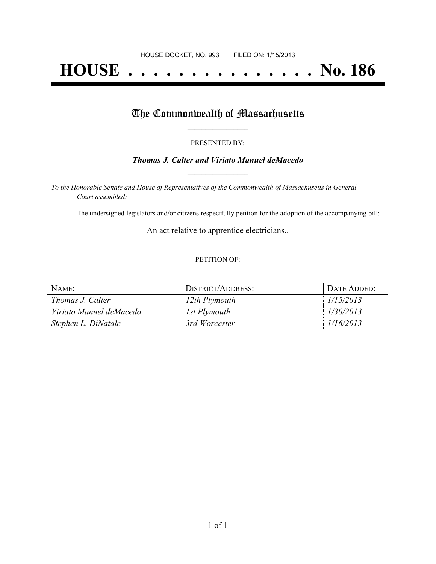# **HOUSE . . . . . . . . . . . . . . . No. 186**

### The Commonwealth of Massachusetts

#### PRESENTED BY:

#### *Thomas J. Calter and Viriato Manuel deMacedo* **\_\_\_\_\_\_\_\_\_\_\_\_\_\_\_\_\_**

*To the Honorable Senate and House of Representatives of the Commonwealth of Massachusetts in General Court assembled:*

The undersigned legislators and/or citizens respectfully petition for the adoption of the accompanying bill:

An act relative to apprentice electricians.. **\_\_\_\_\_\_\_\_\_\_\_\_\_\_\_**

#### PETITION OF:

| NAME                    | DISTRICT/ADDRESS: | <b>DATE ADDED:</b> |
|-------------------------|-------------------|--------------------|
| <i>Thomas J. Calter</i> | 12th Plymouth     | 1/15/2013          |
| Viriato Manuel deMacedo | 1st Plymouth      | 1/30/2013          |
| Stephen L. DiNatale     | 3rd Worcester     | 1/16/2013          |